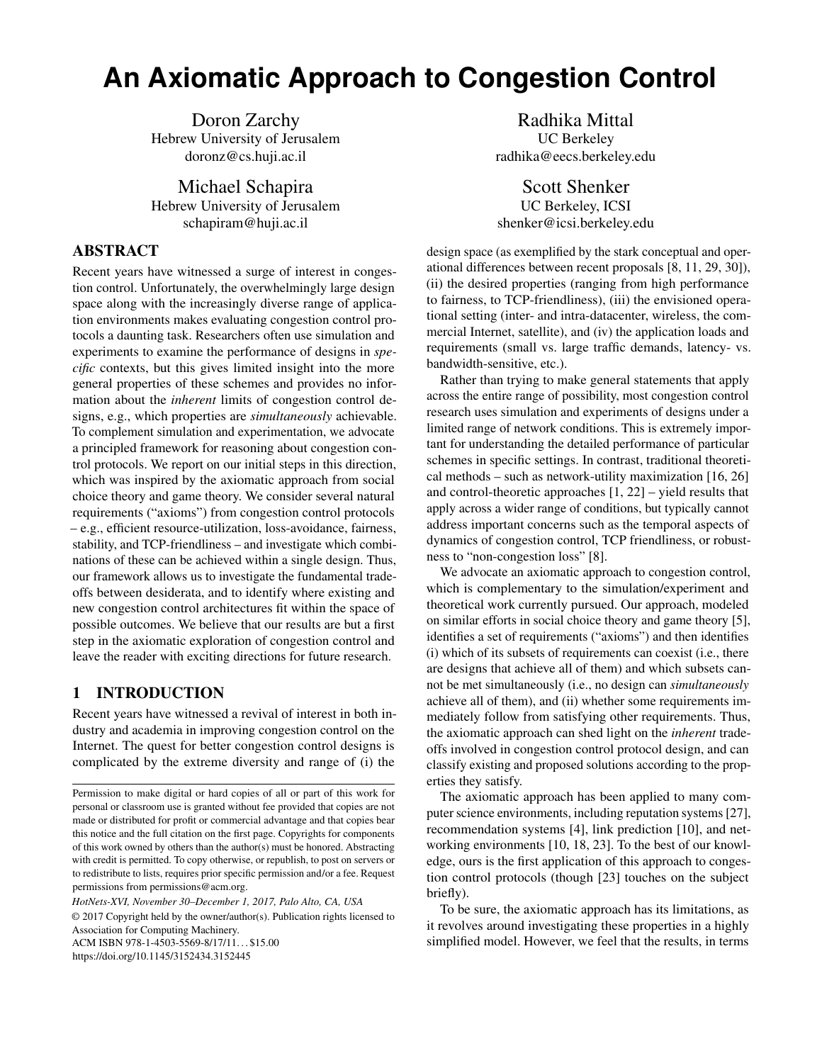# <span id="page-0-0"></span>**An Axiomatic Approach to Congestion Control**

Doron Zarchy Hebrew University of Jerusalem doronz@cs.huji.ac.il

Michael Schapira Hebrew University of Jerusalem schapiram@huji.ac.il

# ABSTRACT

Recent years have witnessed a surge of interest in congestion control. Unfortunately, the overwhelmingly large design space along with the increasingly diverse range of application environments makes evaluating congestion control protocols a daunting task. Researchers often use simulation and experiments to examine the performance of designs in *specific* contexts, but this gives limited insight into the more general properties of these schemes and provides no information about the *inherent* limits of congestion control designs, e.g., which properties are *simultaneously* achievable. To complement simulation and experimentation, we advocate a principled framework for reasoning about congestion control protocols. We report on our initial steps in this direction, which was inspired by the axiomatic approach from social choice theory and game theory. We consider several natural requirements ("axioms") from congestion control protocols – e.g., efficient resource-utilization, loss-avoidance, fairness, stability, and TCP-friendliness – and investigate which combinations of these can be achieved within a single design. Thus, our framework allows us to investigate the fundamental tradeoffs between desiderata, and to identify where existing and new congestion control architectures fit within the space of possible outcomes. We believe that our results are but a first step in the axiomatic exploration of congestion control and leave the reader with exciting directions for future research.

## 1 INTRODUCTION

Recent years have witnessed a revival of interest in both industry and academia in improving congestion control on the Internet. The quest for better congestion control designs is complicated by the extreme diversity and range of (i) the

*HotNets-XVI, November 30–December 1, 2017, Palo Alto, CA, USA*

© 2017 Copyright held by the owner/author(s). Publication rights licensed to Association for Computing Machinery.

ACM ISBN 978-1-4503-5569-8/17/11. . . \$15.00 <https://doi.org/10.1145/3152434.3152445>

Radhika Mittal UC Berkeley radhika@eecs.berkeley.edu

Scott Shenker UC Berkeley, ICSI shenker@icsi.berkeley.edu

design space (as exemplified by the stark conceptual and operational differences between recent proposals [\[8,](#page-6-0) [11,](#page-6-1) [29,](#page-6-2) [30\]](#page-6-3)), (ii) the desired properties (ranging from high performance to fairness, to TCP-friendliness), (iii) the envisioned operational setting (inter- and intra-datacenter, wireless, the commercial Internet, satellite), and (iv) the application loads and requirements (small vs. large traffic demands, latency- vs. bandwidth-sensitive, etc.).

Rather than trying to make general statements that apply across the entire range of possibility, most congestion control research uses simulation and experiments of designs under a limited range of network conditions. This is extremely important for understanding the detailed performance of particular schemes in specific settings. In contrast, traditional theoretical methods – such as network-utility maximization [\[16,](#page-6-4) [26\]](#page-6-5) and control-theoretic approaches [\[1,](#page-6-6) [22\]](#page-6-7) – yield results that apply across a wider range of conditions, but typically cannot address important concerns such as the temporal aspects of dynamics of congestion control, TCP friendliness, or robustness to "non-congestion loss" [\[8\]](#page-6-0).

We advocate an axiomatic approach to congestion control, which is complementary to the simulation/experiment and theoretical work currently pursued. Our approach, modeled on similar efforts in social choice theory and game theory [\[5\]](#page-6-8), identifies a set of requirements ("axioms") and then identifies (i) which of its subsets of requirements can coexist (i.e., there are designs that achieve all of them) and which subsets cannot be met simultaneously (i.e., no design can *simultaneously* achieve all of them), and (ii) whether some requirements immediately follow from satisfying other requirements. Thus, the axiomatic approach can shed light on the *inherent* tradeoffs involved in congestion control protocol design, and can classify existing and proposed solutions according to the properties they satisfy.

The axiomatic approach has been applied to many computer science environments, including reputation systems [\[27\]](#page-6-9), recommendation systems [\[4\]](#page-6-10), link prediction [\[10\]](#page-6-11), and networking environments [\[10,](#page-6-11) [18,](#page-6-12) [23\]](#page-6-13). To the best of our knowledge, ours is the first application of this approach to congestion control protocols (though [\[23\]](#page-6-13) touches on the subject briefly).

To be sure, the axiomatic approach has its limitations, as it revolves around investigating these properties in a highly simplified model. However, we feel that the results, in terms

Permission to make digital or hard copies of all or part of this work for personal or classroom use is granted without fee provided that copies are not made or distributed for profit or commercial advantage and that copies bear this notice and the full citation on the first page. Copyrights for components of this work owned by others than the author(s) must be honored. Abstracting with credit is permitted. To copy otherwise, or republish, to post on servers or to redistribute to lists, requires prior specific permission and/or a fee. Request permissions from permissions@acm.org.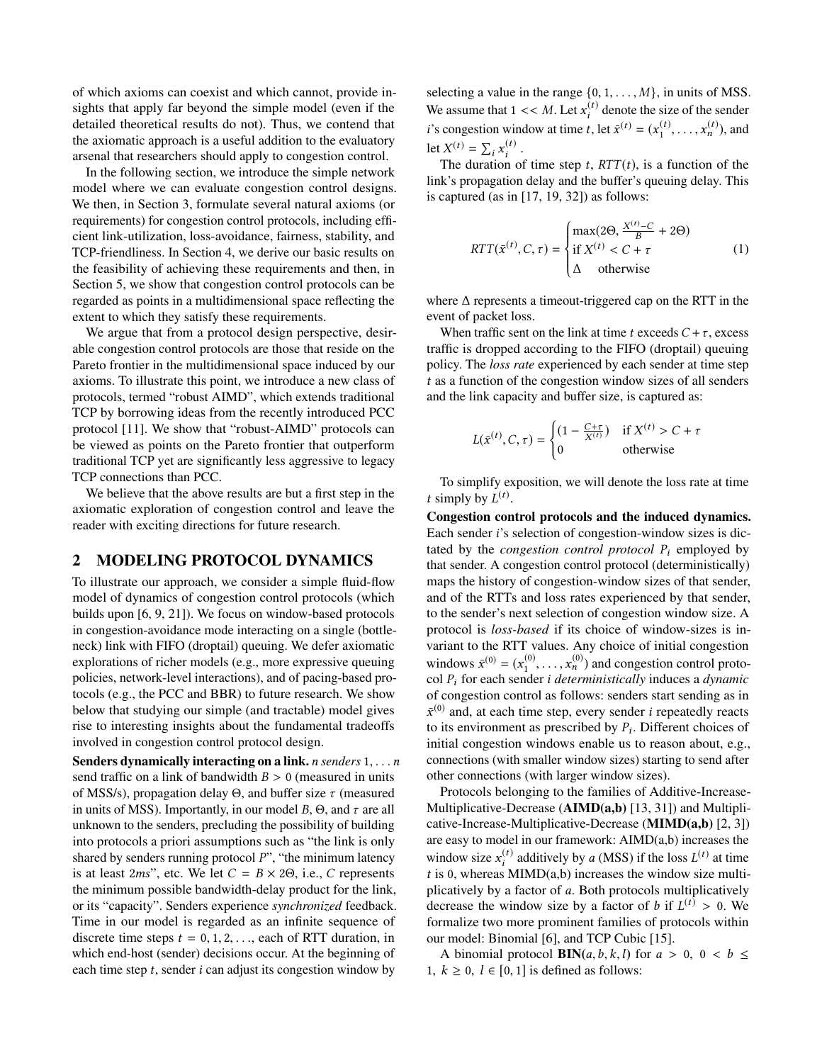of which axioms can coexist and which cannot, provide insights that apply far beyond the simple model (even if the detailed theoretical results do not). Thus, we contend that the axiomatic approach is a useful addition to the evaluatory arsenal that researchers should apply to congestion control.

In the following section, we introduce the simple network model where we can evaluate congestion control designs. We then, in Section [3,](#page-2-0) formulate several natural axioms (or requirements) for congestion control protocols, including efficient link-utilization, loss-avoidance, fairness, stability, and TCP-friendliness. In Section [4,](#page-3-0) we derive our basic results on the feasibility of achieving these requirements and then, in Section [5,](#page-3-1) we show that congestion control protocols can be regarded as points in a multidimensional space reflecting the extent to which they satisfy these requirements.

We argue that from a protocol design perspective, desirable congestion control protocols are those that reside on the Pareto frontier in the multidimensional space induced by our axioms. To illustrate this point, we introduce a new class of protocols, termed "robust AIMD", which extends traditional TCP by borrowing ideas from the recently introduced PCC protocol [\[11\]](#page-6-1). We show that "robust-AIMD" protocols can be viewed as points on the Pareto frontier that outperform traditional TCP yet are significantly less aggressive to legacy TCP connections than PCC.

We believe that the above results are but a first step in the axiomatic exploration of congestion control and leave the reader with exciting directions for future research.

## <span id="page-1-0"></span>2 MODELING PROTOCOL DYNAMICS

To illustrate our approach, we consider a simple fluid-flow model of dynamics of congestion control protocols (which builds upon [\[6,](#page-6-14) [9,](#page-6-15) [21\]](#page-6-16)). We focus on window-based protocols in congestion-avoidance mode interacting on a single (bottleneck) link with FIFO (droptail) queuing. We defer axiomatic explorations of richer models (e.g., more expressive queuing policies, network-level interactions), and of pacing-based protocols (e.g., the PCC and BBR) to future research. We show below that studying our simple (and tractable) model gives rise to interesting insights about the fundamental tradeoffs involved in congestion control protocol design.

Senders dynamically interacting on a link. n *senders* <sup>1</sup>, . . . n send traffic on a link of bandwidth  $B > 0$  (measured in units of MSS/s), propagation delay  $\Theta$ , and buffer size  $\tau$  (measured in units of MSS). Importantly, in our model  $B$ ,  $\Theta$ , and  $\tau$  are all unknown to the senders, precluding the possibility of building into protocols a priori assumptions such as "the link is only shared by senders running protocol  $P$ ", "the minimum latency is at least 2ms", etc. We let  $C = B \times 2\Theta$ , i.e., C represents the minimum possible bandwidth-delay product for the link, or its "capacity". Senders experience *synchronized* feedback. Time in our model is regarded as an infinite sequence of discrete time steps  $t = 0, 1, 2, \ldots$ , each of RTT duration, in which end-host (sender) decisions occur. At the beginning of each time step t, sender i can adjust its congestion window by

selecting a value in the range  $\{0, 1, \ldots, M\}$ , in units of MSS. We assume that  $1 \ll M$ . Let  $x_i^{(t)}$  denote the size of the sender *i*'s congestion window at time *t*, let  $\bar{x}^{(t)} = (x_1^{(t)}, \dots, x_n^{(t)})$ , and let  $X^{(t)} = \sum_i x_i^{(t)}$ .<br>The duration of

The duration of time step t,  $RTT(t)$ , is a function of the<br>k's propagation delay and the buffer's queuing delay. This link's propagation delay and the buffer's queuing delay. This is captured (as in [\[17,](#page-6-17) [19,](#page-6-18) [32\]](#page-6-19)) as follows:

$$
RTT(\bar{x}^{(t)}, C, \tau) = \begin{cases} \max(2\Theta, \frac{X^{(t)} - C}{B} + 2\Theta) \\ \text{if } X^{(t)} < C + \tau \\ \Delta & \text{otherwise} \end{cases} \tag{1}
$$

where ∆ represents a timeout-triggered cap on the RTT in the event of packet loss.

When traffic sent on the link at time t exceeds  $C + \tau$ , excess traffic is dropped according to the FIFO (droptail) queuing policy. The *loss rate* experienced by each sender at time step t as a function of the congestion window sizes of all senders and the link capacity and buffer size, is captured as:

$$
L(\bar{x}^{(t)}, C, \tau) = \begin{cases} (1 - \frac{C + \tau}{X^{(t)}}) & \text{if } X^{(t)} > C + \tau \\ 0 & \text{otherwise} \end{cases}
$$

To simplify exposition, we will denote the loss rate at time t simply by  $L^{(t)}$ .<br>Conception con

Congestion control protocols and the induced dynamics. Each sender i's selection of congestion-window sizes is dictated by the *congestion control protocol*  $P_i$  employed by that sender. A congestion control protocol (deterministically) maps the history of congestion-window sizes of that sender, and of the RTTs and loss rates experienced by that sender, to the sender's next selection of congestion window size. A protocol is *loss-based* if its choice of window-sizes is invariant to the RTT values. Any choice of initial congestion windows  $\bar{x}^{(0)} = (x_1^{(0)}$ <br>col *P*, for each sender 1  $\text{col } P_i$  for each sender *i deterministically* induces a *dynamic*<br>of congestion control as follows: senders start sending as in  $\binom{0}{n}$  and congestion control proto-<br>exministically induces a dynamic of congestion control as follows: senders start sending as in  $\bar{x}^{(0)}$  and, at each time step, every sender *i* repeatedly reacts to its environment as prescribed by P. Different choices of to its environment as prescribed by  $P_i$ . Different choices of initial congestion windows enable us to reason about  $e^{\alpha}$ initial congestion windows enable us to reason about, e.g., connections (with smaller window sizes) starting to send after other connections (with larger window sizes).

Protocols belonging to the families of Additive-Increase-Multiplicative-Decrease  $(AIMD(a,b)$  [\[13,](#page-6-20) [31\]](#page-6-21)) and Multiplicative-Increase-Multiplicative-Decrease (MIMD(a,b) [\[2,](#page-6-22) [3\]](#page-6-23)) are easy to model in our framework: AIMD(a,b) increases the window size  $x_i^{(t)}$  additively by a (MSS) if the loss  $L^{(t)}$  at time t is 0, whereas MIMD(a b) increases the window size multit is 0, whereas MIMD(a,b) increases the window size multi-<br>plicatively by a factor of a. Both protocols multiplicatively plicatively by a factor of a. Both protocols multiplicatively decrease the window size by a factor of b if  $L^{(t)} > 0$ . We formalize two more prominent families of protocols within formalize two more prominent families of protocols within our model: Binomial [\[6\]](#page-6-14), and TCP Cubic [\[15\]](#page-6-24).

A binomial protocol **BIN**(*a, b, k, l*) for  $a > 0$ ,  $0 < b \le$ 1,  $k \geq 0$ ,  $l \in [0, 1]$  is defined as follows: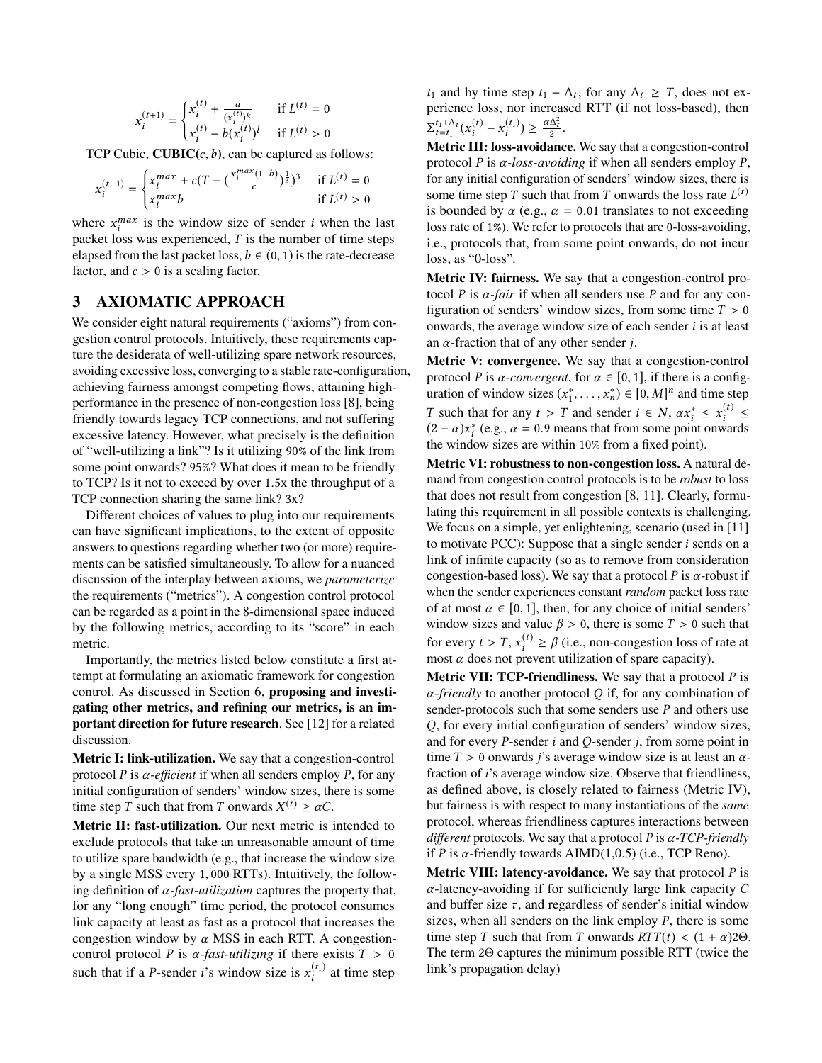$$
x_i^{(t+1)} = \begin{cases} x_i^{(t)} + \frac{a}{(x_i^{(t)})^k} & \text{if } L^{(t)} = 0\\ x_i^{(t)} - b(x_i^{(t)})^l & \text{if } L^{(t)} > 0 \end{cases}
$$

TCP Cubic,  $\text{CUBIC}(c, b)$ , can be captured as follows:

$$
x_i^{(t+1)} = \begin{cases} x_i^{max} + c(T - (\frac{x_i^{max}(1-b)}{c})^{\frac{1}{3}})^3 & \text{if } L^{(t)} = 0\\ x_i^{max} b & \text{if } L^{(t)} > 0 \end{cases}
$$

where  $x_i^{max}$  is the window size of sender *i* when the last<br>packet loss was experienced. T is the number of time steps packet loss was experienced, T is the number of time steps<br>elanced from the last packet loss  $h \in (0, 1)$  is the rate-decrease elapsed from the last packet loss,  $b \in (0, 1)$  is the rate-decrease factor, and  $c > 0$  is a scaling factor.

## <span id="page-2-0"></span>3 AXIOMATIC APPROACH

We consider eight natural requirements ("axioms") from congestion control protocols. Intuitively, these requirements capture the desiderata of well-utilizing spare network resources, avoiding excessive loss, converging to a stable rate-configuration, achieving fairness amongst competing flows, attaining highperformance in the presence of non-congestion loss [\[8\]](#page-6-0), being friendly towards legacy TCP connections, and not suffering excessive latency. However, what precisely is the definition of "well-utilizing a link"? Is it utilizing 90% of the link from some point onwards? 95%? What does it mean to be friendly to TCP? Is it not to exceed by over <sup>1</sup>.5x the throughput of a TCP connection sharing the same link? 3x?

Different choices of values to plug into our requirements can have significant implications, to the extent of opposite answers to questions regarding whether two (or more) requirements can be satisfied simultaneously. To allow for a nuanced discussion of the interplay between axioms, we *parameterize* the requirements ("metrics"). A congestion control protocol can be regarded as a point in the 8-dimensional space induced by the following metrics, according to its "score" in each metric.

Importantly, the metrics listed below constitute a first attempt at formulating an axiomatic framework for congestion control. As discussed in Section [6,](#page-5-0) proposing and investigating other metrics, and refining our metrics, is an important direction for future research. See [\[12\]](#page-6-25) for a related discussion.

Metric I: link-utilization. We say that a congestion-control protocol *P* is *α*-*efficient* if when all senders employ *P*, for any initial configuration of senders' window sizes, there is some time step T such that from T onwards  $X^{(t)} \geq \alpha C$ .

Metric II: fast-utilization. Our next metric is intended to exclude protocols that take an unreasonable amount of time to utilize spare bandwidth (e.g., that increase the window size by a single MSS every <sup>1</sup>, <sup>000</sup> RTTs). Intuitively, the following definition of α*-fast-utilization* captures the property that, for any "long enough" time period, the protocol consumes link capacity at least as fast as a protocol that increases the congestion window by  $\alpha$  MSS in each RTT. A congestioncontrol protocol P is  $\alpha$ -fast-utilizing if there exists  $T > 0$ such that if a *P*-sender *i*'s window size is  $x_i^{(t_1)}$  at time step

 $t_1$  and by time step  $t_1 + \Delta_t$ , for any  $\Delta_t \geq T$ , does not ex-<br>perience loss, nor increased RTT (if not loss-based), then perience loss, nor increased RTT (if not loss-based), then  $\frac{t_1 + \Delta_t}{t = t_1} (x_i^{(t)} - x_i^{(t_1)}) \ge \frac{\alpha \Delta_t^2}{2}$  $\frac{\Delta_t}{2}$ .

 $\sum_{t=t_1}^{t}$  ( $\sum_{t=1}^{t}$  in  $\sum_{t=2}^{t}$  in  $t_1$ ) =  $\sum_{t=2}^{t}$ protocol *P* is  $\alpha$ -loss-avoiding if when all senders employ *P*, for any initial configuration of senders' window sizes, there is some time step T such that from T onwards the loss rate  $L^{(t)}$ <br>is bounded by  $\alpha$  (e.g.  $\alpha = 0.01$  translates to not exceeding is bounded by  $\alpha$  (e.g.,  $\alpha = 0.01$  translates to not exceeding loss rate of 1%). We refer to protocols that are 0-loss-avoiding, i.e., protocols that, from some point onwards, do not incur loss, as "0-loss".

Metric IV: fairness. We say that a congestion-control protocol *P* is  $\alpha$ -*fair* if when all senders use *P* and for any configuration of senders' window sizes, from some time  $T > 0$ onwards, the average window size of each sender  $i$  is at least an  $\alpha$ -fraction that of any other sender *j*.

Metric V: convergence. We say that a congestion-control protocol *P* is *α*-convergent, for  $\alpha \in [0, 1]$ , if there is a configuration of window sizes  $(x_1^*, \ldots, x_n^*) \in [0, M]^n$  and time step<br> $T_{n+1}$  that for every the  $T_{n+1}$  such a state of  $M_n$ ,  $\stackrel{*}{\sim}$  (*t*) T such that for any  $t > T$  and sender  $i \in N$ ,  $\alpha x_i^* \leq x_i^{(t)} \leq$ <br> $(2 - \alpha)x^*$  (e.g.  $\alpha = 0$  9 means that from some point on wards)  $(2 - \alpha)x_i^*$  (e.g.,  $\alpha = 0.9$  means that from some point onwards<br>the window sizes are within 10% from a fixed point) the window sizes are within 10% from a fixed point).

Metric VI: robustness to non-congestion loss. A natural demand from congestion control protocols is to be *robust* to loss that does not result from congestion [\[8,](#page-6-0) [11\]](#page-6-1). Clearly, formulating this requirement in all possible contexts is challenging. We focus on a simple, yet enlightening, scenario (used in [\[11\]](#page-6-1) to motivate PCC): Suppose that a single sender i sends on a link of infinite capacity (so as to remove from consideration congestion-based loss). We say that a protocol P is  $\alpha$ -robust if when the sender experiences constant *random* packet loss rate of at most  $\alpha \in [0, 1]$ , then, for any choice of initial senders' window sizes and value  $\beta > 0$ , there is some  $T > 0$  such that for every  $t > T$ ,  $x_i^{(t)} \ge \beta$  (i.e., non-congestion loss of rate at most  $\alpha$  does not prevent utilization of spare capacity) most  $\alpha$  does not prevent utilization of spare capacity).<br>Motris VII, TCD friendliness, We see that a grates

**Metric VII: TCP-friendliness.** We say that a protocol  $P$  is α*-friendly* to another protocol Q if, for any combination of sender-protocols such that some senders use  $P$  and others use Q, for every initial configuration of senders' window sizes, and for every  $P$ -sender  $i$  and  $Q$ -sender  $j$ , from some point in time  $T > 0$  onwards j's average window size is at least an  $\alpha$ fraction of i's average window size. Observe that friendliness, as defined above, is closely related to fairness (Metric IV), but fairness is with respect to many instantiations of the *same* protocol, whereas friendliness captures interactions between *different* protocols. We say that a protocol P is α*-TCP-friendly* if P is  $\alpha$ -friendly towards AIMD(1,0.5) (i.e., TCP Reno).

**Metric VIII: latency-avoidance.** We say that protocol  $P$  is  $\alpha$ -latency-avoiding if for sufficiently large link capacity C and buffer size  $\tau$ , and regardless of sender's initial window sizes, when all senders on the link employ  $P$ , there is some time step T such that from T onwards  $RTT(t) < (1 + \alpha)2\Theta$ . The term <sup>2</sup>Θ captures the minimum possible RTT (twice the link's propagation delay)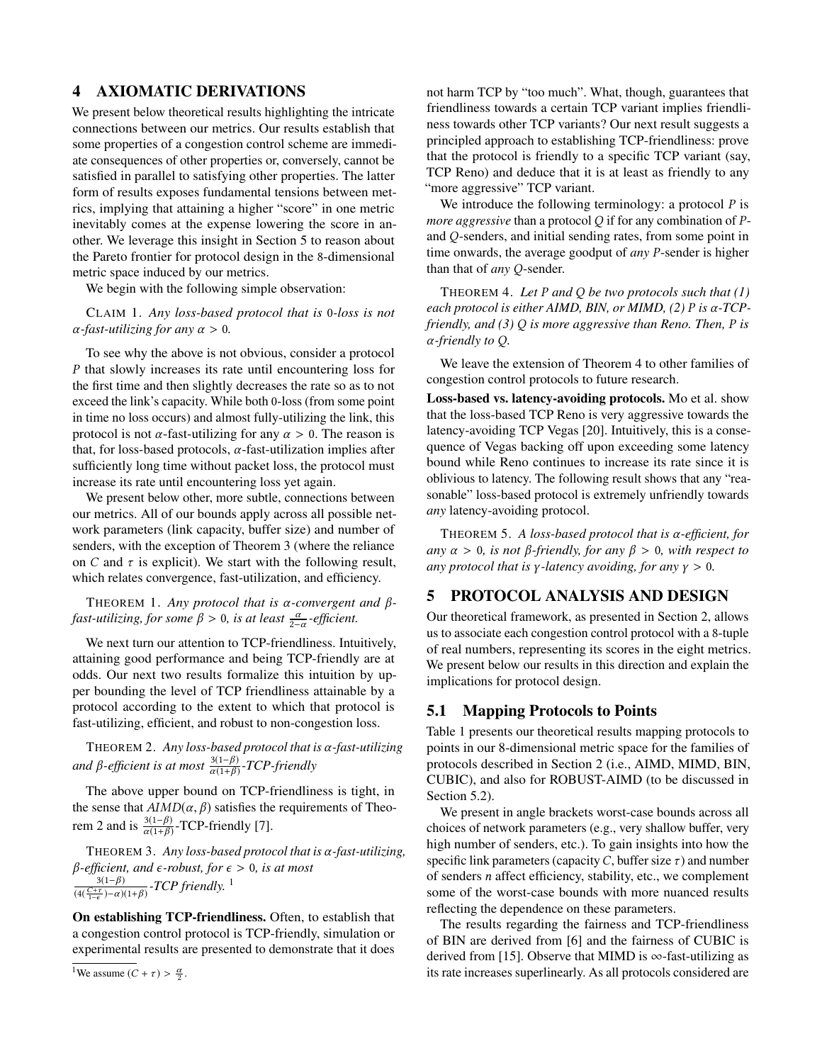## <span id="page-3-0"></span>4 AXIOMATIC DERIVATIONS

We present below theoretical results highlighting the intricate connections between our metrics. Our results establish that some properties of a congestion control scheme are immediate consequences of other properties or, conversely, cannot be satisfied in parallel to satisfying other properties. The latter form of results exposes fundamental tensions between metrics, implying that attaining a higher "score" in one metric inevitably comes at the expense lowering the score in another. We leverage this insight in Section [5](#page-3-1) to reason about the Pareto frontier for protocol design in the 8-dimensional metric space induced by our metrics.

We begin with the following simple observation:

CLAIM 1. *Any loss-based protocol that is* 0*-loss is not*  $\alpha$ *-fast-utilizing for any*  $\alpha > 0$ .

To see why the above is not obvious, consider a protocol P that slowly increases its rate until encountering loss for the first time and then slightly decreases the rate so as to not exceed the link's capacity. While both 0-loss (from some point in time no loss occurs) and almost fully-utilizing the link, this protocol is not  $\alpha$ -fast-utilizing for any  $\alpha > 0$ . The reason is that, for loss-based protocols,  $\alpha$ -fast-utilization implies after sufficiently long time without packet loss, the protocol must increase its rate until encountering loss yet again.

We present below other, more subtle, connections between our metrics. All of our bounds apply across all possible network parameters (link capacity, buffer size) and number of senders, with the exception of Theorem [3](#page-3-2) (where the reliance on C and  $\tau$  is explicit). We start with the following result, which relates convergence, fast-utilization, and efficiency.

<sup>T</sup>HEOREM 1. *Any protocol that is* α*-convergent and* β*-* $\int \frac{a}{2-a}$ -efficient.<br>*fast-utilizing, for some*  $\beta > 0$ , *is at least*  $\frac{a}{2-a}$ -efficient.

We next turn our attention to TCP-friendliness. Intuitively, attaining good performance and being TCP-friendly are at odds. Our next two results formalize this intuition by upper bounding the level of TCP friendliness attainable by a protocol according to the extent to which that protocol is fast-utilizing, efficient, and robust to non-congestion loss.

<span id="page-3-3"></span>THEOREM 2. *Any loss-based protocol that is*  $\alpha$ -fast-utilizing<br>d  $\beta$  afficient is at most  $\frac{3(1-\beta)}{2CD}$  TCB friendly. and *β*-efficient is at most  $\frac{3(1-\beta)}{\alpha(1+\beta)}$ -*TCP*-friendly

The above upper bound on TCP-friendliness is tight, in the sense that  $AIMD(\alpha, \beta)$  satisfies the requirements of Theo-rem [2](#page-3-3) and is  $\frac{3(1-\beta)}{\alpha(1+\beta)}$  $\frac{3(1-p)}{\alpha(1+\beta)}$ -TCP-friendly [\[7\]](#page-6-26).

<span id="page-3-2"></span><sup>T</sup>HEOREM 3. *Any loss-based protocol that is* α*-fast-utilizing,* β*-efficient, and* ϵ*-robust, for* ϵ > <sup>0</sup>*, is at most*  $\frac{3(1-\beta)}{(4(\frac{C+\tau}{1-\epsilon})-\alpha)(1+\beta)}$  $\frac{3(1-\beta)}{(4(\frac{C+\tau}{1-\epsilon})-\alpha)(1+\beta)}$  $\frac{3(1-\beta)}{(4(\frac{C+\tau}{1-\epsilon})-\alpha)(1+\beta)}$ -*TCP friendly*.<sup>1</sup>

On establishing TCP-friendliness. Often, to establish that a congestion control protocol is TCP-friendly, simulation or experimental results are presented to demonstrate that it does

<sup>1</sup>We assume  $(C + \tau) > \frac{\alpha}{2}$ .

not harm TCP by "too much". What, though, guarantees that friendliness towards a certain TCP variant implies friendliness towards other TCP variants? Our next result suggests a principled approach to establishing TCP-friendliness: prove that the protocol is friendly to a specific TCP variant (say, TCP Reno) and deduce that it is at least as friendly to any "more aggressive" TCP variant.

We introduce the following terminology: a protocol  $P$  is *more aggressive* than a protocol Q if for any combination of Pand Q-senders, and initial sending rates, from some point in time onwards, the average goodput of *any* P-sender is higher than that of *any* Q-sender.

<span id="page-3-4"></span><sup>T</sup>HEOREM 4. *Let* P *and* Q *be two protocols such that (1) each protocol is either AIMD, BIN, or MIMD, (2)* P *is* α*-TCPfriendly, and (3)* Q *is more aggressive than Reno. Then,* P *is* α*-friendly to* Q*.*

We leave the extension of Theorem [4](#page-3-4) to other families of congestion control protocols to future research.

Loss-based vs. latency-avoiding protocols. Mo et al. show that the loss-based TCP Reno is very aggressive towards the latency-avoiding TCP Vegas [\[20\]](#page-6-27). Intuitively, this is a consequence of Vegas backing off upon exceeding some latency bound while Reno continues to increase its rate since it is oblivious to latency. The following result shows that any "reasonable" loss-based protocol is extremely unfriendly towards *any* latency-avoiding protocol.

<sup>T</sup>HEOREM 5. *A loss-based protocol that is* α*-efficient, for any* α > <sup>0</sup>*, is not* β*-friendly, for any* β > <sup>0</sup>*, with respect to any protocol that is* γ *-latency avoiding, for any* γ > <sup>0</sup>*.*

## <span id="page-3-1"></span>5 PROTOCOL ANALYSIS AND DESIGN

Our theoretical framework, as presented in Section [2,](#page-1-0) allows us to associate each congestion control protocol with a 8-tuple of real numbers, representing its scores in the eight metrics. We present below our results in this direction and explain the implications for protocol design.

#### 5.1 Mapping Protocols to Points

Table [1](#page-4-0) presents our theoretical results mapping protocols to points in our 8-dimensional metric space for the families of protocols described in Section [2](#page-1-0) (i.e., AIMD, MIMD, BIN, CUBIC), and also for ROBUST-AIMD (to be discussed in Section [5.2\)](#page-4-1).

We present in angle brackets worst-case bounds across all choices of network parameters (e.g., very shallow buffer, very high number of senders, etc.). To gain insights into how the specific link parameters (capacity C, buffer size  $\tau$ ) and number of senders n affect efficiency, stability, etc., we complement some of the worst-case bounds with more nuanced results reflecting the dependence on these parameters.

The results regarding the fairness and TCP-friendliness of BIN are derived from [\[6\]](#page-6-14) and the fairness of CUBIC is derived from [\[15\]](#page-6-24). Observe that MIMD is  $\infty$ -fast-utilizing as its rate increases superlinearly. As all protocols considered are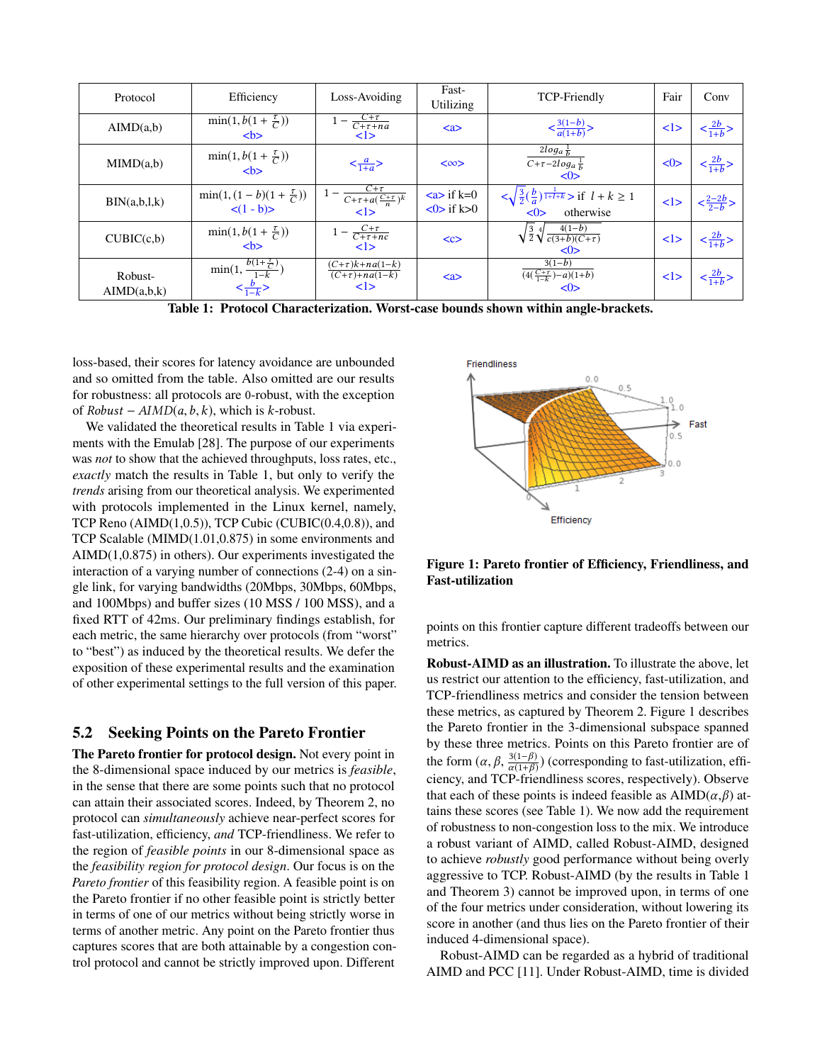<span id="page-4-0"></span>

| Protocol               | Efficiency                                                                                                                                                                        | Loss-Avoiding                                        | Fast-<br>Utilizing                                           | TCP-Friendly                                                                                                      | Fair     | Conv               |
|------------------------|-----------------------------------------------------------------------------------------------------------------------------------------------------------------------------------|------------------------------------------------------|--------------------------------------------------------------|-------------------------------------------------------------------------------------------------------------------|----------|--------------------|
| AIMD(a,b)              | $\min(1, b(1 + \frac{\tau}{C}))$<br><br><b>ob</b>                                                                                                                                 | $-\frac{C+\tau}{C+\tau+na}$<br><1>                   | $\langle$ a>                                                 | $\langle \frac{3(1-b)}{a(1+b)} \rangle$                                                                           | <1>      | $\frac{2b}{1+b}$   |
| MIMD(a,b)              | $\min(1, b(1+\frac{\tau}{C}))$<br><br><b>ch</b>                                                                                                                                   | $\langle \frac{a}{1+a} \rangle$                      | $<\infty>$                                                   | $2log_a \frac{1}{b}$<br>$\overline{C+\tau-2log_a\frac{1}{b}}$<br>$<\!\!\theta\!\!>$                               | $<\!\!0$ | $\frac{2b}{1+b}$   |
| BIN(a,b,l,k)           | $min(1,(1-b)(1+\frac{\tau}{C}))$<br>$(1 - b)$                                                                                                                                     | $\frac{C+\tau}{C+\tau+a(\frac{C+\tau}{n})^k}$<br><1> | $\langle a \rangle$ if k=0<br>$\langle 0 \rangle$ if $k > 0$ | $\langle \sqrt{\frac{3}{2}}(\frac{b}{a})^{\frac{1}{1+l+k}} \rangle$ if $l+k \geq 1$<br>otherwise<br>$<\!\!0\!\!>$ | <1>      | $\frac{2-2b}{2-b}$ |
| CUBIC(c,b)             | $\sqrt{\frac{3}{2}} \sqrt[4]{\frac{4(1-b)}{c(3+b)(C+\tau)}}$<br>$1-\frac{C+\tau}{C+\tau+nc}$<br>$\min(1, b(1+\frac{\tau}{C}))$<br>< <sub><br/>&gt;<br/>1&gt;<br/>&lt;()&gt;</sub> |                                                      | <1>                                                          | $\frac{2b}{1+b}$                                                                                                  |          |                    |
| Robust-<br>AIMD(a,b,k) | $\min\left(1, \frac{b(1+\frac{\tau}{C})}{1-k}\right)$<br>$\lt \frac{b}{1-k}$                                                                                                      | $(C+\tau)k+na(1-k)$<br>$(C+\tau)$ +na(1-k)<br><1>    | $\langle$ a>                                                 | $3(1-b)$<br>$\frac{1}{(4(\frac{C+\tau}{1-k})-a)(1+b)}$                                                            | $\leq l$ | $\frac{2b}{1+b}$   |

 $\frac{1}{\sqrt{1-k}}$  Table 1: Protocol Characterization. Worst-case bounds shown within angle-brackets.

loss-based, their scores for latency avoidance are unbounded and so omitted from the table. Also omitted are our results for robustness: all protocols are 0-robust, with the exception of  $Robust -AMD(a, b, k)$ , which is k-robust.

We validated the theoretical results in Table [1](#page-4-0) via experiments with the Emulab [\[28\]](#page-6-28). The purpose of our experiments was *not* to show that the achieved throughputs, loss rates, etc., *exactly* match the results in Table [1,](#page-4-0) but only to verify the *trends* arising from our theoretical analysis. We experimented with protocols implemented in the Linux kernel, namely, TCP Reno  $(AIMD(1,0.5))$ , TCP Cubic  $(CUBIC(0.4,0.8))$ , and TCP Scalable (MIMD(1.01,0.875) in some environments and AIMD(1,0.875) in others). Our experiments investigated the interaction of a varying number of connections (2-4) on a single link, for varying bandwidths (20Mbps, 30Mbps, 60Mbps, and 100Mbps) and buffer sizes (10 MSS / 100 MSS), and a fixed RTT of 42ms. Our preliminary findings establish, for each metric, the same hierarchy over protocols (from "worst" to "best") as induced by the theoretical results. We defer the exposition of these experimental results and the examination of other experimental settings to the full version of this paper.

## <span id="page-4-1"></span>5.2 Seeking Points on the Pareto Frontier

The Pareto frontier for protocol design. Not every point in the 8-dimensional space induced by our metrics is *feasible*, in the sense that there are some points such that no protocol can attain their associated scores. Indeed, by Theorem [2,](#page-3-3) no protocol can *simultaneously* achieve near-perfect scores for fast-utilization, efficiency, *and* TCP-friendliness. We refer to the region of *feasible points* in our 8-dimensional space as the *feasibility region for protocol design*. Our focus is on the *Pareto frontier* of this feasibility region. A feasible point is on the Pareto frontier if no other feasible point is strictly better in terms of one of our metrics without being strictly worse in terms of another metric. Any point on the Pareto frontier thus captures scores that are both attainable by a congestion control protocol and cannot be strictly improved upon. Different

<span id="page-4-2"></span>

Figure 1: Pareto frontier of Efficiency, Friendliness, and Fast-utilization

points on this frontier capture different tradeoffs between our metrics.

Robust-AIMD as an illustration. To illustrate the above, let us restrict our attention to the efficiency, fast-utilization, and TCP-friendliness metrics and consider the tension between these metrics, as captured by Theorem [2.](#page-3-3) Figure [1](#page-4-2) describes the Pareto frontier in the 3-dimensional subspace spanned by these three metrics. Points on this Pareto frontier are of the form  $(\alpha, \beta, \frac{3(1-\beta)}{\alpha(1+\beta)}$  $\frac{a(1-p)}{a(1+p)}$  (corresponding to fast-utilization, effi-<br>  $\frac{a(1+p)}{b}$  friendliness scores, respectively). Observe ciency, and TCP-friendliness scores, respectively). Observe that each of these points is indeed feasible as  $\text{AIMD}(\alpha,\beta)$  attains these scores (see Table [1\)](#page-4-0). We now add the requirement of robustness to non-congestion loss to the mix. We introduce a robust variant of AIMD, called Robust-AIMD, designed to achieve *robustly* good performance without being overly aggressive to TCP. Robust-AIMD (by the results in Table [1](#page-4-0) and Theorem [3\)](#page-3-2) cannot be improved upon, in terms of one of the four metrics under consideration, without lowering its score in another (and thus lies on the Pareto frontier of their induced 4-dimensional space).

Robust-AIMD can be regarded as a hybrid of traditional AIMD and PCC [\[11\]](#page-6-1). Under Robust-AIMD, time is divided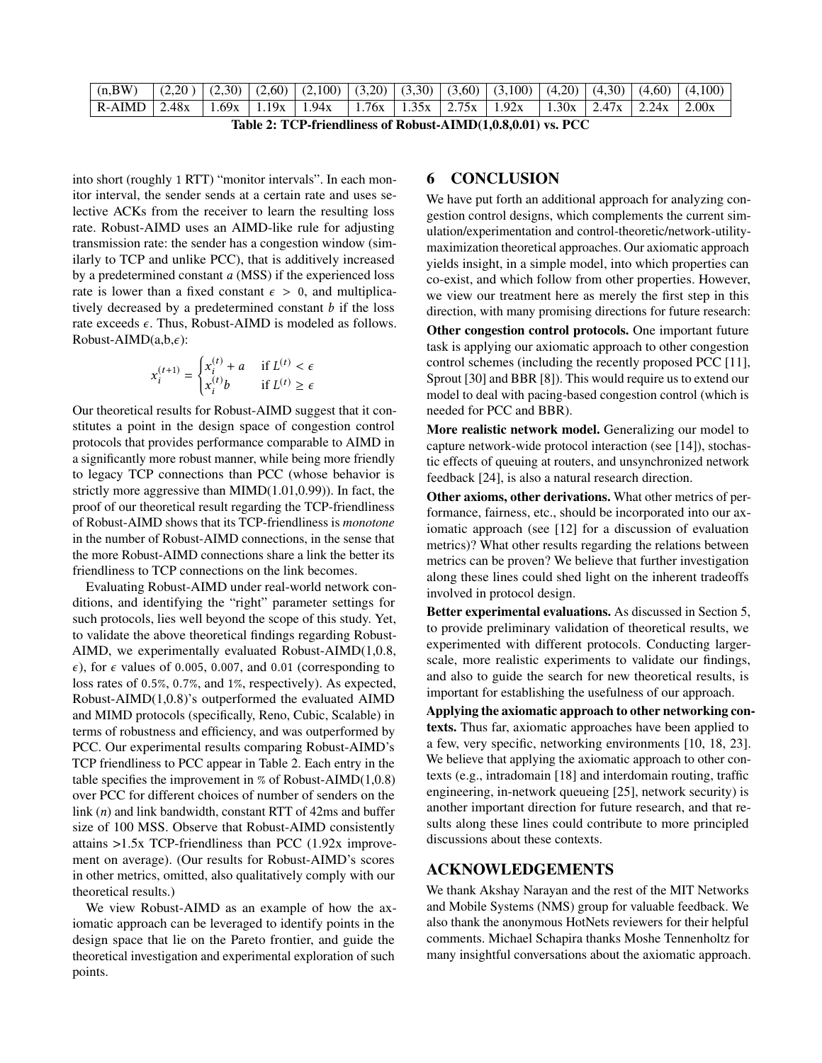<span id="page-5-1"></span>

| (n,BW)                                                                                                                                                        |  |  |  |  |  | $\vert (2,20) \vert (2,30) \vert (2,60) \vert (2,100) \vert (3,20) \vert (3,30) \vert (3,60) \vert (3,100) \vert (4,20) \vert (4,30) \vert (4,60) \vert (4,100) \vert (4,100)$ |
|---------------------------------------------------------------------------------------------------------------------------------------------------------------|--|--|--|--|--|--------------------------------------------------------------------------------------------------------------------------------------------------------------------------------|
| $R-AIMD$ 2.48x $\mid$ 1.69x $\mid$ 1.19x $\mid$ 1.94x $\mid$ 1.76x $\mid$ 1.35x $\mid$ 2.75x $\mid$ 1.92x $\mid$ 1.30x $\mid$ 2.47x $\mid$ 2.24x $\mid$ 2.00x |  |  |  |  |  |                                                                                                                                                                                |

into short (roughly 1 RTT) "monitor intervals". In each monitor interval, the sender sends at a certain rate and uses selective ACKs from the receiver to learn the resulting loss rate. Robust-AIMD uses an AIMD-like rule for adjusting transmission rate: the sender has a congestion window (similarly to TCP and unlike PCC), that is additively increased by a predetermined constant a (MSS) if the experienced loss rate is lower than a fixed constant  $\epsilon > 0$ , and multiplicatively decreased by a predetermined constant b if the loss rate exceeds  $\epsilon$ . Thus, Robust-AIMD is modeled as follows. Robust-AIMD( $a,b,\epsilon$ ):

$$
x_i^{(t+1)} = \begin{cases} x_i^{(t)} + a & \text{if } L^{(t)} < \epsilon \\ x_i^{(t)}b & \text{if } L^{(t)} \ge \epsilon \end{cases}
$$

Our theoretical results for Robust-AIMD suggest that it constitutes a point in the design space of congestion control protocols that provides performance comparable to AIMD in a significantly more robust manner, while being more friendly to legacy TCP connections than PCC (whose behavior is strictly more aggressive than MIMD(1.01,0.99)). In fact, the proof of our theoretical result regarding the TCP-friendliness of Robust-AIMD shows that its TCP-friendliness is *monotone* in the number of Robust-AIMD connections, in the sense that the more Robust-AIMD connections share a link the better its friendliness to TCP connections on the link becomes.

Evaluating Robust-AIMD under real-world network conditions, and identifying the "right" parameter settings for such protocols, lies well beyond the scope of this study. Yet, to validate the above theoretical findings regarding Robust-AIMD, we experimentally evaluated Robust-AIMD(1,0.8,  $\epsilon$ ), for  $\epsilon$  values of 0.005, 0.007, and 0.01 (corresponding to loss rates of <sup>0</sup>.5%, <sup>0</sup>.7%, and 1%, respectively). As expected, Robust-AIMD(1,0.8)'s outperformed the evaluated AIMD and MIMD protocols (specifically, Reno, Cubic, Scalable) in terms of robustness and efficiency, and was outperformed by PCC. Our experimental results comparing Robust-AIMD's TCP friendliness to PCC appear in Table [2.](#page-5-1) Each entry in the table specifies the improvement in  $%$  of Robust-AIMD(1,0.8) over PCC for different choices of number of senders on the link (*n*) and link bandwidth, constant RTT of 42ms and buffer size of 100 MSS. Observe that Robust-AIMD consistently attains >1.5x TCP-friendliness than PCC (1.92x improvement on average). (Our results for Robust-AIMD's scores in other metrics, omitted, also qualitatively comply with our theoretical results.)

We view Robust-AIMD as an example of how the axiomatic approach can be leveraged to identify points in the design space that lie on the Pareto frontier, and guide the theoretical investigation and experimental exploration of such points.

## <span id="page-5-0"></span>6 CONCLUSION

We have put forth an additional approach for analyzing congestion control designs, which complements the current simulation/experimentation and control-theoretic/network-utilitymaximization theoretical approaches. Our axiomatic approach yields insight, in a simple model, into which properties can co-exist, and which follow from other properties. However, we view our treatment here as merely the first step in this direction, with many promising directions for future research:

Other congestion control protocols. One important future task is applying our axiomatic approach to other congestion control schemes (including the recently proposed PCC [\[11\]](#page-6-1), Sprout [\[30\]](#page-6-3) and BBR [\[8\]](#page-6-0)). This would require us to extend our model to deal with pacing-based congestion control (which is needed for PCC and BBR).

More realistic network model. Generalizing our model to capture network-wide protocol interaction (see [\[14\]](#page-6-29)), stochastic effects of queuing at routers, and unsynchronized network feedback [\[24\]](#page-6-30), is also a natural research direction.

Other axioms, other derivations. What other metrics of performance, fairness, etc., should be incorporated into our axiomatic approach (see [\[12\]](#page-6-25) for a discussion of evaluation metrics)? What other results regarding the relations between metrics can be proven? We believe that further investigation along these lines could shed light on the inherent tradeoffs involved in protocol design.

Better experimental evaluations. As discussed in Section [5,](#page-3-1) to provide preliminary validation of theoretical results, we experimented with different protocols. Conducting largerscale, more realistic experiments to validate our findings, and also to guide the search for new theoretical results, is important for establishing the usefulness of our approach.

Applying the axiomatic approach to other networking contexts. Thus far, axiomatic approaches have been applied to a few, very specific, networking environments [\[10,](#page-6-11) [18,](#page-6-12) [23\]](#page-6-13). We believe that applying the axiomatic approach to other contexts (e.g., intradomain [\[18\]](#page-6-12) and interdomain routing, traffic engineering, in-network queueing [\[25\]](#page-6-31), network security) is another important direction for future research, and that results along these lines could contribute to more principled discussions about these contexts.

## ACKNOWLEDGEMENTS

We thank Akshay Narayan and the rest of the MIT Networks and Mobile Systems (NMS) group for valuable feedback. We also thank the anonymous HotNets reviewers for their helpful comments. Michael Schapira thanks Moshe Tennenholtz for many insightful conversations about the axiomatic approach.